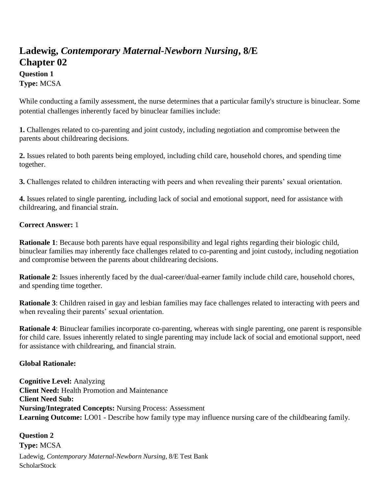# **Ladewig,** *Contemporary Maternal-Newborn Nursing***, 8/E Chapter 02**

# **Question 1 Type:** MCSA

While conducting a family assessment, the nurse determines that a particular family's structure is binuclear. Some potential challenges inherently faced by binuclear families include:

**1.** Challenges related to co-parenting and joint custody, including negotiation and compromise between the parents about childrearing decisions.

**2.** Issues related to both parents being employed, including child care, household chores, and spending time together.

**3.** Challenges related to children interacting with peers and when revealing their parents' sexual orientation.

**4.** Issues related to single parenting, including lack of social and emotional support, need for assistance with childrearing, and financial strain.

# **Correct Answer:** 1

**Rationale 1**: Because both parents have equal responsibility and legal rights regarding their biologic child, binuclear families may inherently face challenges related to co-parenting and joint custody, including negotiation and compromise between the parents about childrearing decisions.

**Rationale 2**: Issues inherently faced by the dual-career/dual-earner family include child care, household chores, and spending time together.

**Rationale 3**: Children raised in gay and lesbian families may face challenges related to interacting with peers and when revealing their parents' sexual orientation.

**Rationale 4**: Binuclear families incorporate co-parenting, whereas with single parenting, one parent is responsible for child care. Issues inherently related to single parenting may include lack of social and emotional support, need for assistance with childrearing, and financial strain.

# **Global Rationale:**

**Cognitive Level:** Analyzing **Client Need:** Health Promotion and Maintenance **Client Need Sub: Nursing/Integrated Concepts:** Nursing Process: Assessment **Learning Outcome:** LO01 - Describe how family type may influence nursing care of the childbearing family.

Ladewig, *Contemporary Maternal-Newborn Nursing*, 8/E Test Bank **ScholarStock Question 2 Type:** MCSA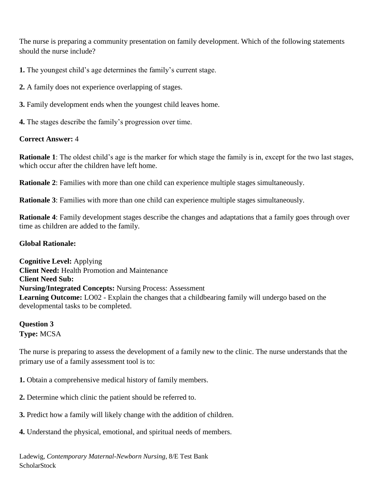The nurse is preparing a community presentation on family development. Which of the following statements should the nurse include?

**1.** The youngest child's age determines the family's current stage.

**2.** A family does not experience overlapping of stages.

- **3.** Family development ends when the youngest child leaves home.
- **4.** The stages describe the family's progression over time.

# **Correct Answer:** 4

**Rationale 1**: The oldest child's age is the marker for which stage the family is in, except for the two last stages, which occur after the children have left home.

**Rationale 2**: Families with more than one child can experience multiple stages simultaneously.

**Rationale 3**: Families with more than one child can experience multiple stages simultaneously.

**Rationale 4**: Family development stages describe the changes and adaptations that a family goes through over time as children are added to the family.

# **Global Rationale:**

**Cognitive Level:** Applying **Client Need:** Health Promotion and Maintenance **Client Need Sub: Nursing/Integrated Concepts:** Nursing Process: Assessment **Learning Outcome:** LO02 - Explain the changes that a childbearing family will undergo based on the developmental tasks to be completed.

**Question 3 Type:** MCSA

The nurse is preparing to assess the development of a family new to the clinic. The nurse understands that the primary use of a family assessment tool is to:

**1.** Obtain a comprehensive medical history of family members.

- **2.** Determine which clinic the patient should be referred to.
- **3.** Predict how a family will likely change with the addition of children.
- **4.** Understand the physical, emotional, and spiritual needs of members.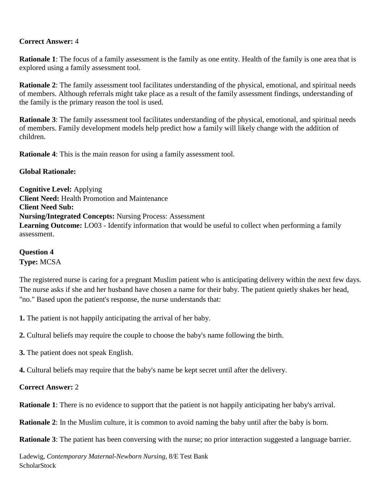## **Correct Answer:** 4

**Rationale 1**: The focus of a family assessment is the family as one entity. Health of the family is one area that is explored using a family assessment tool.

**Rationale 2:** The family assessment tool facilitates understanding of the physical, emotional, and spiritual needs of members. Although referrals might take place as a result of the family assessment findings, understanding of the family is the primary reason the tool is used.

**Rationale 3**: The family assessment tool facilitates understanding of the physical, emotional, and spiritual needs of members. Family development models help predict how a family will likely change with the addition of children.

**Rationale 4**: This is the main reason for using a family assessment tool.

### **Global Rationale:**

**Cognitive Level:** Applying **Client Need:** Health Promotion and Maintenance **Client Need Sub: Nursing/Integrated Concepts:** Nursing Process: Assessment **Learning Outcome:** LO03 - Identify information that would be useful to collect when performing a family assessment.

**Question 4**

**Type:** MCSA

The registered nurse is caring for a pregnant Muslim patient who is anticipating delivery within the next few days. The nurse asks if she and her husband have chosen a name for their baby. The patient quietly shakes her head, "no." Based upon the patient's response, the nurse understands that:

**1.** The patient is not happily anticipating the arrival of her baby.

**2.** Cultural beliefs may require the couple to choose the baby's name following the birth.

**3.** The patient does not speak English.

**4.** Cultural beliefs may require that the baby's name be kept secret until after the delivery.

### **Correct Answer:** 2

**Rationale 1**: There is no evidence to support that the patient is not happily anticipating her baby's arrival.

**Rationale 2:** In the Muslim culture, it is common to avoid naming the baby until after the baby is born.

**Rationale 3**: The patient has been conversing with the nurse; no prior interaction suggested a language barrier.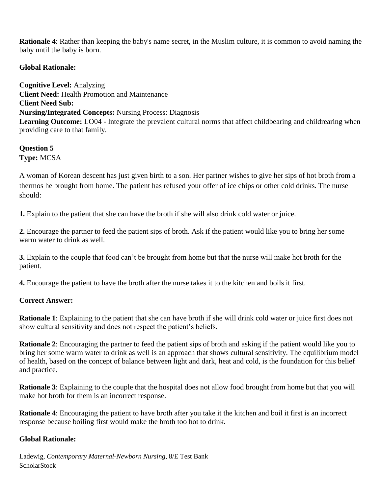**Rationale 4**: Rather than keeping the baby's name secret, in the Muslim culture, it is common to avoid naming the baby until the baby is born.

## **Global Rationale:**

**Cognitive Level:** Analyzing **Client Need:** Health Promotion and Maintenance **Client Need Sub: Nursing/Integrated Concepts:** Nursing Process: Diagnosis **Learning Outcome:** LO04 - Integrate the prevalent cultural norms that affect childbearing and childrearing when providing care to that family.

#### **Question 5 Type:** MCSA

A woman of Korean descent has just given birth to a son. Her partner wishes to give her sips of hot broth from a thermos he brought from home. The patient has refused your offer of ice chips or other cold drinks. The nurse should:

**1.** Explain to the patient that she can have the broth if she will also drink cold water or juice.

**2.** Encourage the partner to feed the patient sips of broth. Ask if the patient would like you to bring her some warm water to drink as well.

**3.** Explain to the couple that food can't be brought from home but that the nurse will make hot broth for the patient.

**4.** Encourage the patient to have the broth after the nurse takes it to the kitchen and boils it first.

### **Correct Answer:**

**Rationale 1**: Explaining to the patient that she can have broth if she will drink cold water or juice first does not show cultural sensitivity and does not respect the patient's beliefs.

**Rationale 2**: Encouraging the partner to feed the patient sips of broth and asking if the patient would like you to bring her some warm water to drink as well is an approach that shows cultural sensitivity. The equilibrium model of health, based on the concept of balance between light and dark, heat and cold, is the foundation for this belief and practice.

**Rationale 3**: Explaining to the couple that the hospital does not allow food brought from home but that you will make hot broth for them is an incorrect response.

**Rationale 4**: Encouraging the patient to have broth after you take it the kitchen and boil it first is an incorrect response because boiling first would make the broth too hot to drink.

# **Global Rationale:**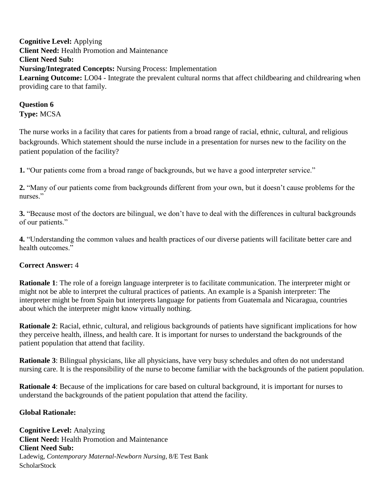**Cognitive Level:** Applying **Client Need:** Health Promotion and Maintenance **Client Need Sub: Nursing/Integrated Concepts:** Nursing Process: Implementation Learning Outcome: LO04 - Integrate the prevalent cultural norms that affect childbearing and childrearing when providing care to that family.

# **Question 6 Type:** MCSA

The nurse works in a facility that cares for patients from a broad range of racial, ethnic, cultural, and religious backgrounds. Which statement should the nurse include in a presentation for nurses new to the facility on the patient population of the facility?

**1.** "Our patients come from a broad range of backgrounds, but we have a good interpreter service."

**2.** "Many of our patients come from backgrounds different from your own, but it doesn't cause problems for the nurses."

**3.** "Because most of the doctors are bilingual, we don't have to deal with the differences in cultural backgrounds of our patients."

**4.** "Understanding the common values and health practices of our diverse patients will facilitate better care and health outcomes."

# **Correct Answer:** 4

**Rationale 1**: The role of a foreign language interpreter is to facilitate communication. The interpreter might or might not be able to interpret the cultural practices of patients. An example is a Spanish interpreter: The interpreter might be from Spain but interprets language for patients from Guatemala and Nicaragua, countries about which the interpreter might know virtually nothing.

**Rationale 2**: Racial, ethnic, cultural, and religious backgrounds of patients have significant implications for how they perceive health, illness, and health care. It is important for nurses to understand the backgrounds of the patient population that attend that facility.

**Rationale 3**: Bilingual physicians, like all physicians, have very busy schedules and often do not understand nursing care. It is the responsibility of the nurse to become familiar with the backgrounds of the patient population.

**Rationale 4**: Because of the implications for care based on cultural background, it is important for nurses to understand the backgrounds of the patient population that attend the facility.

### **Global Rationale:**

Ladewig, *Contemporary Maternal-Newborn Nursing*, 8/E Test Bank **ScholarStock Cognitive Level:** Analyzing **Client Need:** Health Promotion and Maintenance **Client Need Sub:**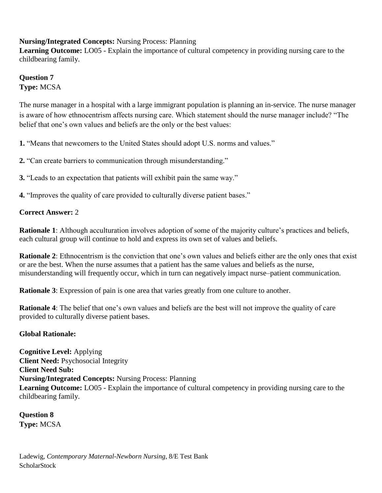# **Nursing/Integrated Concepts:** Nursing Process: Planning

**Learning Outcome:** LO05 - Explain the importance of cultural competency in providing nursing care to the childbearing family.

**Question 7 Type:** MCSA

The nurse manager in a hospital with a large immigrant population is planning an in-service. The nurse manager is aware of how ethnocentrism affects nursing care. Which statement should the nurse manager include? "The belief that one's own values and beliefs are the only or the best values:

**1.** "Means that newcomers to the United States should adopt U.S. norms and values."

**2.** "Can create barriers to communication through misunderstanding."

**3.** "Leads to an expectation that patients will exhibit pain the same way."

**4.** "Improves the quality of care provided to culturally diverse patient bases."

### **Correct Answer:** 2

**Rationale 1**: Although acculturation involves adoption of some of the majority culture's practices and beliefs, each cultural group will continue to hold and express its own set of values and beliefs.

**Rationale 2**: Ethnocentrism is the conviction that one's own values and beliefs either are the only ones that exist or are the best. When the nurse assumes that a patient has the same values and beliefs as the nurse, misunderstanding will frequently occur, which in turn can negatively impact nurse–patient communication.

**Rationale 3**: Expression of pain is one area that varies greatly from one culture to another.

**Rationale 4**: The belief that one's own values and beliefs are the best will not improve the quality of care provided to culturally diverse patient bases.

### **Global Rationale:**

**Cognitive Level:** Applying **Client Need:** Psychosocial Integrity **Client Need Sub: Nursing/Integrated Concepts:** Nursing Process: Planning **Learning Outcome:** LO05 - Explain the importance of cultural competency in providing nursing care to the childbearing family.

**Question 8 Type:** MCSA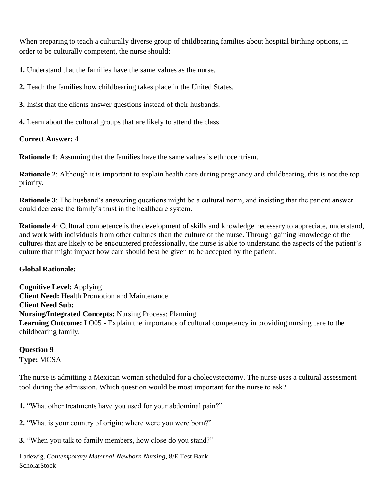When preparing to teach a culturally diverse group of childbearing families about hospital birthing options, in order to be culturally competent, the nurse should:

**1.** Understand that the families have the same values as the nurse.

**2.** Teach the families how childbearing takes place in the United States.

**3.** Insist that the clients answer questions instead of their husbands.

**4.** Learn about the cultural groups that are likely to attend the class.

## **Correct Answer:** 4

**Rationale 1**: Assuming that the families have the same values is ethnocentrism.

**Rationale 2:** Although it is important to explain health care during pregnancy and childbearing, this is not the top priority.

**Rationale 3**: The husband's answering questions might be a cultural norm, and insisting that the patient answer could decrease the family's trust in the healthcare system.

**Rationale 4**: Cultural competence is the development of skills and knowledge necessary to appreciate, understand, and work with individuals from other cultures than the culture of the nurse. Through gaining knowledge of the cultures that are likely to be encountered professionally, the nurse is able to understand the aspects of the patient's culture that might impact how care should best be given to be accepted by the patient.

# **Global Rationale:**

**Cognitive Level:** Applying **Client Need:** Health Promotion and Maintenance **Client Need Sub: Nursing/Integrated Concepts:** Nursing Process: Planning **Learning Outcome:** LO05 - Explain the importance of cultural competency in providing nursing care to the childbearing family.

## **Question 9 Type:** MCSA

The nurse is admitting a Mexican woman scheduled for a cholecystectomy. The nurse uses a cultural assessment tool during the admission. Which question would be most important for the nurse to ask?

**1.** "What other treatments have you used for your abdominal pain?"

**2.** "What is your country of origin; where were you were born?"

**3.** "When you talk to family members, how close do you stand?"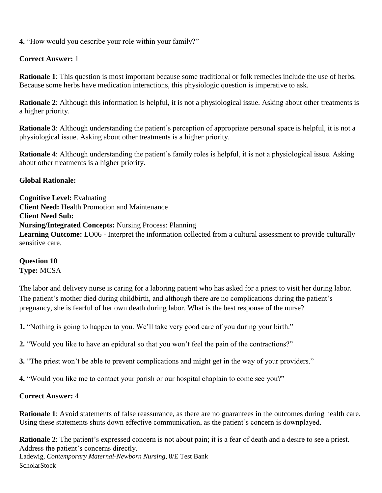**4.** "How would you describe your role within your family?"

## **Correct Answer:** 1

**Rationale 1**: This question is most important because some traditional or folk remedies include the use of herbs. Because some herbs have medication interactions, this physiologic question is imperative to ask.

**Rationale 2**: Although this information is helpful, it is not a physiological issue. Asking about other treatments is a higher priority.

**Rationale 3**: Although understanding the patient's perception of appropriate personal space is helpful, it is not a physiological issue. Asking about other treatments is a higher priority.

**Rationale 4**: Although understanding the patient's family roles is helpful, it is not a physiological issue. Asking about other treatments is a higher priority.

## **Global Rationale:**

**Cognitive Level:** Evaluating **Client Need:** Health Promotion and Maintenance **Client Need Sub: Nursing/Integrated Concepts:** Nursing Process: Planning Learning Outcome: LO06 - Interpret the information collected from a cultural assessment to provide culturally sensitive care.

## **Question 10 Type:** MCSA

The labor and delivery nurse is caring for a laboring patient who has asked for a priest to visit her during labor. The patient's mother died during childbirth, and although there are no complications during the patient's pregnancy, she is fearful of her own death during labor. What is the best response of the nurse?

**1.** "Nothing is going to happen to you. We'll take very good care of you during your birth."

**2.** "Would you like to have an epidural so that you won't feel the pain of the contractions?"

**3.** "The priest won't be able to prevent complications and might get in the way of your providers."

**4.** "Would you like me to contact your parish or our hospital chaplain to come see you?"

### **Correct Answer:** 4

**Rationale 1**: Avoid statements of false reassurance, as there are no guarantees in the outcomes during health care. Using these statements shuts down effective communication, as the patient's concern is downplayed.

**Rationale 2:** The patient's expressed concern is not about pain; it is a fear of death and a desire to see a priest. Address the patient's concerns directly.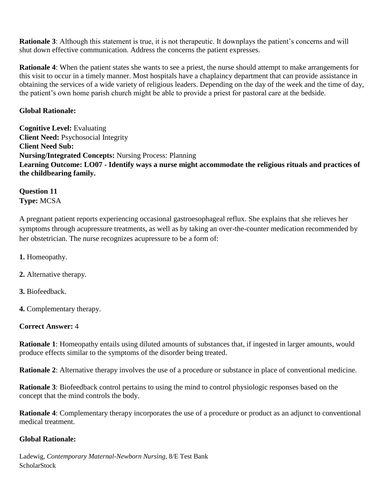**Rationale 3**: Although this statement is true, it is not therapeutic. It downplays the patient's concerns and will shut down effective communication. Address the concerns the patient expresses.

**Rationale 4**: When the patient states she wants to see a priest, the nurse should attempt to make arrangements for this visit to occur in a timely manner. Most hospitals have a chaplaincy department that can provide assistance in obtaining the services of a wide variety of religious leaders. Depending on the day of the week and the time of day, the patient's own home parish church might be able to provide a priest for pastoral care at the bedside.

## **Global Rationale:**

**Cognitive Level:** Evaluating **Client Need:** Psychosocial Integrity **Client Need Sub: Nursing/Integrated Concepts:** Nursing Process: Planning **Learning Outcome: LO07 - Identify ways a nurse might accommodate the religious rituals and practices of the childbearing family.**

## **Question 11 Type:** MCSA

A pregnant patient reports experiencing occasional gastroesophageal reflux. She explains that she relieves her symptoms through acupressure treatments, as well as by taking an over-the-counter medication recommended by her obstetrician. The nurse recognizes acupressure to be a form of:

- **1.** Homeopathy.
- **2.** Alternative therapy.
- **3.** Biofeedback.
- **4.** Complementary therapy.

# **Correct Answer:** 4

**Rationale 1**: Homeopathy entails using diluted amounts of substances that, if ingested in larger amounts, would produce effects similar to the symptoms of the disorder being treated.

**Rationale 2**: Alternative therapy involves the use of a procedure or substance in place of conventional medicine.

**Rationale 3**: Biofeedback control pertains to using the mind to control physiologic responses based on the concept that the mind controls the body.

**Rationale 4**: Complementary therapy incorporates the use of a procedure or product as an adjunct to conventional medical treatment.

### **Global Rationale:**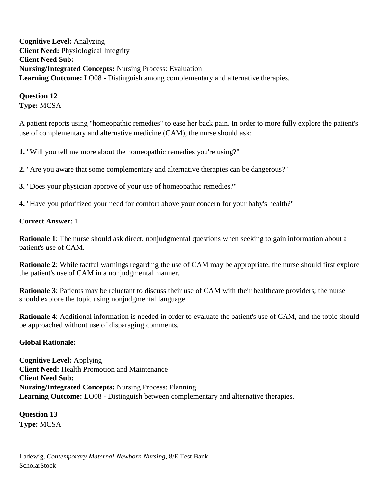**Cognitive Level:** Analyzing **Client Need:** Physiological Integrity **Client Need Sub: Nursing/Integrated Concepts:** Nursing Process: Evaluation **Learning Outcome:** LO08 - Distinguish among complementary and alternative therapies.

**Question 12 Type:** MCSA

A patient reports using "homeopathic remedies" to ease her back pain. In order to more fully explore the patient's use of complementary and alternative medicine (CAM), the nurse should ask:

**1.** "Will you tell me more about the homeopathic remedies you're using?"

**2.** "Are you aware that some complementary and alternative therapies can be dangerous?"

**3.** "Does your physician approve of your use of homeopathic remedies?"

**4.** "Have you prioritized your need for comfort above your concern for your baby's health?"

### **Correct Answer:** 1

**Rationale 1**: The nurse should ask direct, nonjudgmental questions when seeking to gain information about a patient's use of CAM.

**Rationale 2**: While tactful warnings regarding the use of CAM may be appropriate, the nurse should first explore the patient's use of CAM in a nonjudgmental manner.

**Rationale 3**: Patients may be reluctant to discuss their use of CAM with their healthcare providers; the nurse should explore the topic using nonjudgmental language.

**Rationale 4**: Additional information is needed in order to evaluate the patient's use of CAM, and the topic should be approached without use of disparaging comments.

### **Global Rationale:**

**Cognitive Level:** Applying **Client Need:** Health Promotion and Maintenance **Client Need Sub: Nursing/Integrated Concepts:** Nursing Process: Planning **Learning Outcome:** LO08 - Distinguish between complementary and alternative therapies.

**Question 13 Type:** MCSA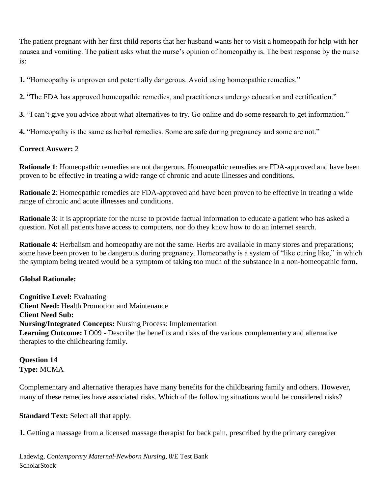The patient pregnant with her first child reports that her husband wants her to visit a homeopath for help with her nausea and vomiting. The patient asks what the nurse's opinion of homeopathy is. The best response by the nurse is:

**1.** "Homeopathy is unproven and potentially dangerous. Avoid using homeopathic remedies."

**2.** "The FDA has approved homeopathic remedies, and practitioners undergo education and certification."

**3.** "I can't give you advice about what alternatives to try. Go online and do some research to get information."

**4.** "Homeopathy is the same as herbal remedies. Some are safe during pregnancy and some are not."

## **Correct Answer:** 2

**Rationale 1**: Homeopathic remedies are not dangerous. Homeopathic remedies are FDA-approved and have been proven to be effective in treating a wide range of chronic and acute illnesses and conditions.

**Rationale 2**: Homeopathic remedies are FDA-approved and have been proven to be effective in treating a wide range of chronic and acute illnesses and conditions.

**Rationale 3**: It is appropriate for the nurse to provide factual information to educate a patient who has asked a question. Not all patients have access to computers, nor do they know how to do an internet search.

**Rationale 4**: Herbalism and homeopathy are not the same. Herbs are available in many stores and preparations; some have been proven to be dangerous during pregnancy. Homeopathy is a system of "like curing like," in which the symptom being treated would be a symptom of taking too much of the substance in a non-homeopathic form.

### **Global Rationale:**

**Cognitive Level:** Evaluating **Client Need:** Health Promotion and Maintenance **Client Need Sub: Nursing/Integrated Concepts:** Nursing Process: Implementation **Learning Outcome:** LO09 - Describe the benefits and risks of the various complementary and alternative therapies to the childbearing family.

# **Question 14 Type:** MCMA

Complementary and alternative therapies have many benefits for the childbearing family and others. However, many of these remedies have associated risks. Which of the following situations would be considered risks?

# **Standard Text:** Select all that apply.

**1.** Getting a massage from a licensed massage therapist for back pain, prescribed by the primary caregiver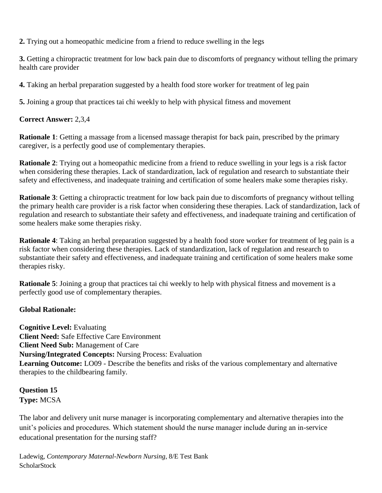**2.** Trying out a homeopathic medicine from a friend to reduce swelling in the legs

**3.** Getting a chiropractic treatment for low back pain due to discomforts of pregnancy without telling the primary health care provider

**4.** Taking an herbal preparation suggested by a health food store worker for treatment of leg pain

**5.** Joining a group that practices tai chi weekly to help with physical fitness and movement

## **Correct Answer:** 2,3,4

**Rationale 1**: Getting a massage from a licensed massage therapist for back pain, prescribed by the primary caregiver, is a perfectly good use of complementary therapies.

**Rationale 2**: Trying out a homeopathic medicine from a friend to reduce swelling in your legs is a risk factor when considering these therapies. Lack of standardization, lack of regulation and research to substantiate their safety and effectiveness, and inadequate training and certification of some healers make some therapies risky.

**Rationale 3**: Getting a chiropractic treatment for low back pain due to discomforts of pregnancy without telling the primary health care provider is a risk factor when considering these therapies. Lack of standardization, lack of regulation and research to substantiate their safety and effectiveness, and inadequate training and certification of some healers make some therapies risky.

**Rationale 4**: Taking an herbal preparation suggested by a health food store worker for treatment of leg pain is a risk factor when considering these therapies. Lack of standardization, lack of regulation and research to substantiate their safety and effectiveness, and inadequate training and certification of some healers make some therapies risky.

**Rationale 5**: Joining a group that practices tai chi weekly to help with physical fitness and movement is a perfectly good use of complementary therapies.

# **Global Rationale:**

**Cognitive Level:** Evaluating **Client Need:** Safe Effective Care Environment **Client Need Sub:** Management of Care **Nursing/Integrated Concepts:** Nursing Process: Evaluation **Learning Outcome:** LO09 - Describe the benefits and risks of the various complementary and alternative therapies to the childbearing family.

# **Question 15 Type:** MCSA

The labor and delivery unit nurse manager is incorporating complementary and alternative therapies into the unit's policies and procedures. Which statement should the nurse manager include during an in-service educational presentation for the nursing staff?